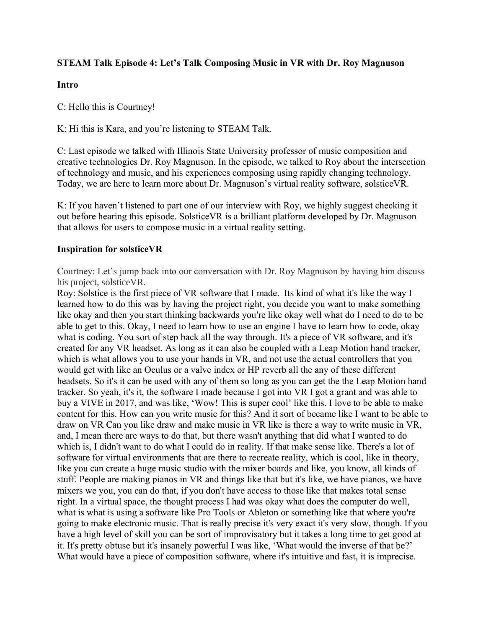### **STEAM Talk Episode 4: Let's Talk Composing Music in VR with Dr. Roy Magnuson**

#### **Intro**

C: Hello this is Courtney!

K: Hi this is Kara, and you're listening to STEAM Talk.

C: Last episode we talked with Illinois State University professor of music composition and creative technologies Dr. Roy Magnuson. In the episode, we talked to Roy about the intersection of technology and music, and his experiences composing using rapidly changing technology. Today, we are here to learn more about Dr. Magnuson's virtual reality software, solsticeVR.

K: If you haven't listened to part one of our interview with Roy, we highly suggest checking it out before hearing this episode. SolsticeVR is a brilliant platform developed by Dr. Magnuson that allows for users to compose music in a virtual reality setting.

#### **Inspiration for solsticeVR**

Courtney: Let's jump back into our conversation with Dr. Roy Magnuson by having him discuss his project, solsticeVR.

Roy: Solstice is the first piece of VR software that I made. Its kind of what it's like the way I learned how to do this was by having the project right, you decide you want to make something like okay and then you start thinking backwards you're like okay well what do I need to do to be able to get to this. Okay, I need to learn how to use an engine I have to learn how to code, okay what is coding. You sort of step back all the way through. It's a piece of VR software, and it's created for any VR headset. As long as it can also be coupled with a Leap Motion hand tracker, which is what allows you to use your hands in VR, and not use the actual controllers that you would get with like an Oculus or a valve index or HP reverb all the any of these different headsets. So it's it can be used with any of them so long as you can get the the Leap Motion hand tracker. So yeah, it's it, the software I made because I got into VR I got a grant and was able to buy a VIVE in 2017, and was like, 'Wow! This is super cool' like this. I love to be able to make content for this. How can you write music for this? And it sort of became like I want to be able to draw on VR Can you like draw and make music in VR like is there a way to write music in VR, and, I mean there are ways to do that, but there wasn't anything that did what I wanted to do which is, I didn't want to do what I could do in reality. If that make sense like. There's a lot of software for virtual environments that are there to recreate reality, which is cool, like in theory, like you can create a huge music studio with the mixer boards and like, you know, all kinds of stuff. People are making pianos in VR and things like that but it's like, we have pianos, we have mixers we you, you can do that, if you don't have access to those like that makes total sense right. In a virtual space, the thought process I had was okay what does the computer do well, what is what is using a software like Pro Tools or Ableton or something like that where you're going to make electronic music. That is really precise it's very exact it's very slow, though. If you have a high level of skill you can be sort of improvisatory but it takes a long time to get good at it. It's pretty obtuse but it's insanely powerful I was like, 'What would the inverse of that be?' What would have a piece of composition software, where it's intuitive and fast, it is imprecise.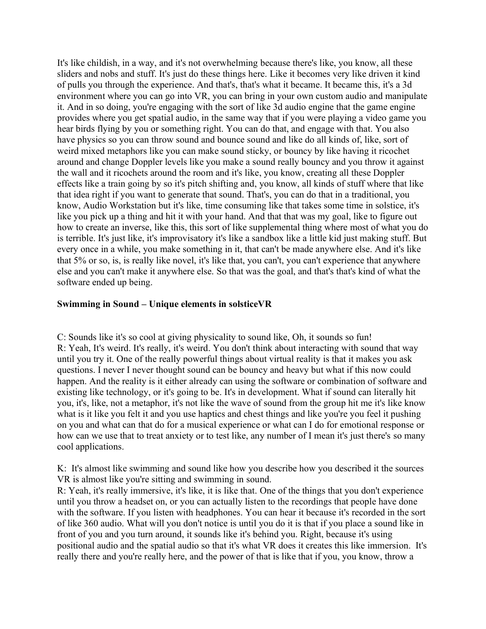It's like childish, in a way, and it's not overwhelming because there's like, you know, all these sliders and nobs and stuff. It's just do these things here. Like it becomes very like driven it kind of pulls you through the experience. And that's, that's what it became. It became this, it's a 3d environment where you can go into VR, you can bring in your own custom audio and manipulate it. And in so doing, you're engaging with the sort of like 3d audio engine that the game engine provides where you get spatial audio, in the same way that if you were playing a video game you hear birds flying by you or something right. You can do that, and engage with that. You also have physics so you can throw sound and bounce sound and like do all kinds of, like, sort of weird mixed metaphors like you can make sound sticky, or bouncy by like having it ricochet around and change Doppler levels like you make a sound really bouncy and you throw it against the wall and it ricochets around the room and it's like, you know, creating all these Doppler effects like a train going by so it's pitch shifting and, you know, all kinds of stuff where that like that idea right if you want to generate that sound. That's, you can do that in a traditional, you know, Audio Workstation but it's like, time consuming like that takes some time in solstice, it's like you pick up a thing and hit it with your hand. And that that was my goal, like to figure out how to create an inverse, like this, this sort of like supplemental thing where most of what you do is terrible. It's just like, it's improvisatory it's like a sandbox like a little kid just making stuff. But every once in a while, you make something in it, that can't be made anywhere else. And it's like that 5% or so, is, is really like novel, it's like that, you can't, you can't experience that anywhere else and you can't make it anywhere else. So that was the goal, and that's that's kind of what the software ended up being.

#### **Swimming in Sound – Unique elements in solsticeVR**

C: Sounds like it's so cool at giving physicality to sound like, Oh, it sounds so fun! R: Yeah, It's weird. It's really, it's weird. You don't think about interacting with sound that way until you try it. One of the really powerful things about virtual reality is that it makes you ask questions. I never I never thought sound can be bouncy and heavy but what if this now could happen. And the reality is it either already can using the software or combination of software and existing like technology, or it's going to be. It's in development. What if sound can literally hit you, it's, like, not a metaphor, it's not like the wave of sound from the group hit me it's like know what is it like you felt it and you use haptics and chest things and like you're you feel it pushing on you and what can that do for a musical experience or what can I do for emotional response or how can we use that to treat anxiety or to test like, any number of I mean it's just there's so many cool applications.

K: It's almost like swimming and sound like how you describe how you described it the sources VR is almost like you're sitting and swimming in sound.

R: Yeah, it's really immersive, it's like, it is like that. One of the things that you don't experience until you throw a headset on, or you can actually listen to the recordings that people have done with the software. If you listen with headphones. You can hear it because it's recorded in the sort of like 360 audio. What will you don't notice is until you do it is that if you place a sound like in front of you and you turn around, it sounds like it's behind you. Right, because it's using positional audio and the spatial audio so that it's what VR does it creates this like immersion. It's really there and you're really here, and the power of that is like that if you, you know, throw a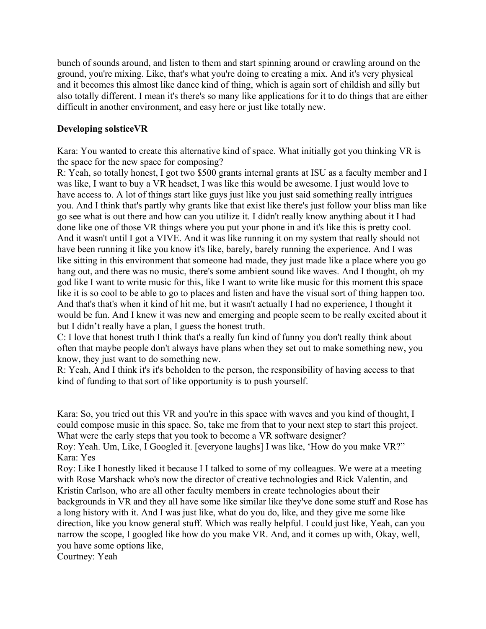bunch of sounds around, and listen to them and start spinning around or crawling around on the ground, you're mixing. Like, that's what you're doing to creating a mix. And it's very physical and it becomes this almost like dance kind of thing, which is again sort of childish and silly but also totally different. I mean it's there's so many like applications for it to do things that are either difficult in another environment, and easy here or just like totally new.

### **Developing solsticeVR**

Kara: You wanted to create this alternative kind of space. What initially got you thinking VR is the space for the new space for composing?

R: Yeah, so totally honest, I got two \$500 grants internal grants at ISU as a faculty member and I was like, I want to buy a VR headset, I was like this would be awesome. I just would love to have access to. A lot of things start like guys just like you just said something really intrigues you. And I think that's partly why grants like that exist like there's just follow your bliss man like go see what is out there and how can you utilize it. I didn't really know anything about it I had done like one of those VR things where you put your phone in and it's like this is pretty cool. And it wasn't until I got a VIVE. And it was like running it on my system that really should not have been running it like you know it's like, barely, barely running the experience. And I was like sitting in this environment that someone had made, they just made like a place where you go hang out, and there was no music, there's some ambient sound like waves. And I thought, oh my god like I want to write music for this, like I want to write like music for this moment this space like it is so cool to be able to go to places and listen and have the visual sort of thing happen too. And that's that's when it kind of hit me, but it wasn't actually I had no experience, I thought it would be fun. And I knew it was new and emerging and people seem to be really excited about it but I didn't really have a plan, I guess the honest truth.

C: I love that honest truth I think that's a really fun kind of funny you don't really think about often that maybe people don't always have plans when they set out to make something new, you know, they just want to do something new.

R: Yeah, And I think it's it's beholden to the person, the responsibility of having access to that kind of funding to that sort of like opportunity is to push yourself.

Kara: So, you tried out this VR and you're in this space with waves and you kind of thought, I could compose music in this space. So, take me from that to your next step to start this project. What were the early steps that you took to become a VR software designer?

Roy: Yeah. Um, Like, I Googled it. [everyone laughs] I was like, 'How do you make VR?" Kara: Yes

Roy: Like I honestly liked it because I I talked to some of my colleagues. We were at a meeting with Rose Marshack who's now the director of creative technologies and Rick Valentin, and Kristin Carlson, who are all other faculty members in create technologies about their backgrounds in VR and they all have some like similar like they've done some stuff and Rose has

a long history with it. And I was just like, what do you do, like, and they give me some like direction, like you know general stuff. Which was really helpful. I could just like, Yeah, can you narrow the scope, I googled like how do you make VR. And, and it comes up with, Okay, well, you have some options like,

Courtney: Yeah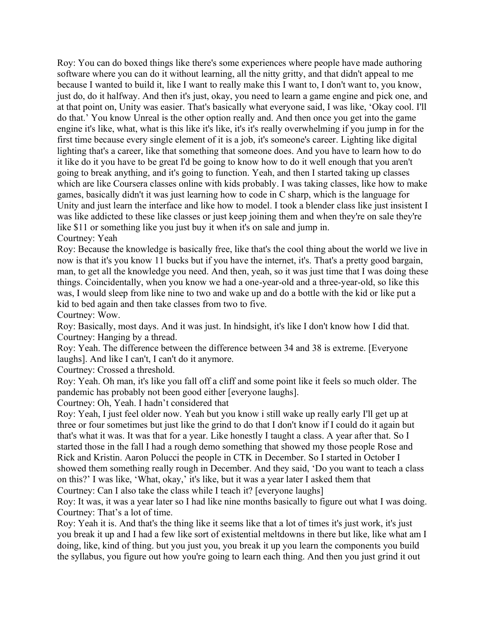Roy: You can do boxed things like there's some experiences where people have made authoring software where you can do it without learning, all the nitty gritty, and that didn't appeal to me because I wanted to build it, like I want to really make this I want to, I don't want to, you know, just do, do it halfway. And then it's just, okay, you need to learn a game engine and pick one, and at that point on, Unity was easier. That's basically what everyone said, I was like, 'Okay cool. I'll do that.' You know Unreal is the other option really and. And then once you get into the game engine it's like, what, what is this like it's like, it's it's really overwhelming if you jump in for the first time because every single element of it is a job, it's someone's career. Lighting like digital lighting that's a career, like that something that someone does. And you have to learn how to do it like do it you have to be great I'd be going to know how to do it well enough that you aren't going to break anything, and it's going to function. Yeah, and then I started taking up classes which are like Coursera classes online with kids probably. I was taking classes, like how to make games, basically didn't it was just learning how to code in C sharp, which is the language for Unity and just learn the interface and like how to model. I took a blender class like just insistent I was like addicted to these like classes or just keep joining them and when they're on sale they're like \$11 or something like you just buy it when it's on sale and jump in. Courtney: Yeah

Roy: Because the knowledge is basically free, like that's the cool thing about the world we live in now is that it's you know 11 bucks but if you have the internet, it's. That's a pretty good bargain, man, to get all the knowledge you need. And then, yeah, so it was just time that I was doing these things. Coincidentally, when you know we had a one-year-old and a three-year-old, so like this was, I would sleep from like nine to two and wake up and do a bottle with the kid or like put a kid to bed again and then take classes from two to five.

Courtney: Wow.

Roy: Basically, most days. And it was just. In hindsight, it's like I don't know how I did that. Courtney: Hanging by a thread.

Roy: Yeah. The difference between the difference between 34 and 38 is extreme. [Everyone laughs]. And like I can't, I can't do it anymore.

Courtney: Crossed a threshold.

Roy: Yeah. Oh man, it's like you fall off a cliff and some point like it feels so much older. The pandemic has probably not been good either [everyone laughs].

Courtney: Oh, Yeah. I hadn't considered that

Roy: Yeah, I just feel older now. Yeah but you know i still wake up really early I'll get up at three or four sometimes but just like the grind to do that I don't know if I could do it again but that's what it was. It was that for a year. Like honestly I taught a class. A year after that. So I started those in the fall I had a rough demo something that showed my those people Rose and Rick and Kristin. Aaron Polucci the people in CTK in December. So I started in October I showed them something really rough in December. And they said, 'Do you want to teach a class on this?' I was like, 'What, okay,' it's like, but it was a year later I asked them that Courtney: Can I also take the class while I teach it? [everyone laughs]

Roy: It was, it was a year later so I had like nine months basically to figure out what I was doing. Courtney: That's a lot of time.

Roy: Yeah it is. And that's the thing like it seems like that a lot of times it's just work, it's just you break it up and I had a few like sort of existential meltdowns in there but like, like what am I doing, like, kind of thing. but you just you, you break it up you learn the components you build the syllabus, you figure out how you're going to learn each thing. And then you just grind it out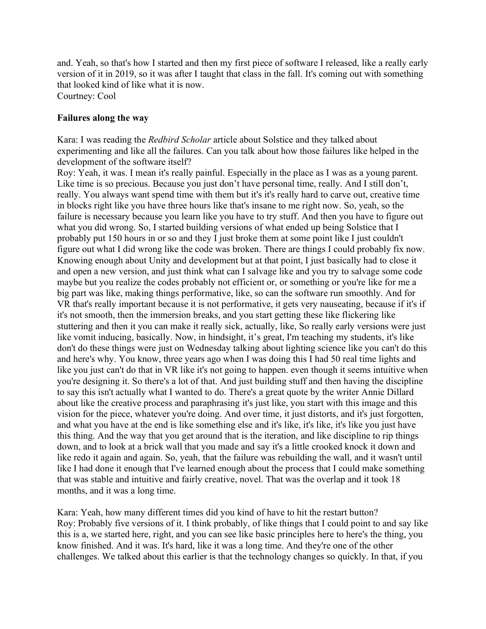and. Yeah, so that's how I started and then my first piece of software I released, like a really early version of it in 2019, so it was after I taught that class in the fall. It's coming out with something that looked kind of like what it is now. Courtney: Cool

#### **Failures along the way**

Kara: I was reading the *Redbird Scholar* article about Solstice and they talked about experimenting and like all the failures. Can you talk about how those failures like helped in the development of the software itself?

Roy: Yeah, it was. I mean it's really painful. Especially in the place as I was as a young parent. Like time is so precious. Because you just don't have personal time, really. And I still don't, really. You always want spend time with them but it's it's really hard to carve out, creative time in blocks right like you have three hours like that's insane to me right now. So, yeah, so the failure is necessary because you learn like you have to try stuff. And then you have to figure out what you did wrong. So, I started building versions of what ended up being Solstice that I probably put 150 hours in or so and they I just broke them at some point like I just couldn't figure out what I did wrong like the code was broken. There are things I could probably fix now. Knowing enough about Unity and development but at that point, I just basically had to close it and open a new version, and just think what can I salvage like and you try to salvage some code maybe but you realize the codes probably not efficient or, or something or you're like for me a big part was like, making things performative, like, so can the software run smoothly. And for VR that's really important because it is not performative, it gets very nauseating, because if it's if it's not smooth, then the immersion breaks, and you start getting these like flickering like stuttering and then it you can make it really sick, actually, like, So really early versions were just like vomit inducing, basically. Now, in hindsight, it's great, I'm teaching my students, it's like don't do these things were just on Wednesday talking about lighting science like you can't do this and here's why. You know, three years ago when I was doing this I had 50 real time lights and like you just can't do that in VR like it's not going to happen. even though it seems intuitive when you're designing it. So there's a lot of that. And just building stuff and then having the discipline to say this isn't actually what I wanted to do. There's a great quote by the writer Annie Dillard about like the creative process and paraphrasing it's just like, you start with this image and this vision for the piece, whatever you're doing. And over time, it just distorts, and it's just forgotten, and what you have at the end is like something else and it's like, it's like, it's like you just have this thing. And the way that you get around that is the iteration, and like discipline to rip things down, and to look at a brick wall that you made and say it's a little crooked knock it down and like redo it again and again. So, yeah, that the failure was rebuilding the wall, and it wasn't until like I had done it enough that I've learned enough about the process that I could make something that was stable and intuitive and fairly creative, novel. That was the overlap and it took 18 months, and it was a long time.

Kara: Yeah, how many different times did you kind of have to hit the restart button? Roy: Probably five versions of it. I think probably, of like things that I could point to and say like this is a, we started here, right, and you can see like basic principles here to here's the thing, you know finished. And it was. It's hard, like it was a long time. And they're one of the other challenges. We talked about this earlier is that the technology changes so quickly. In that, if you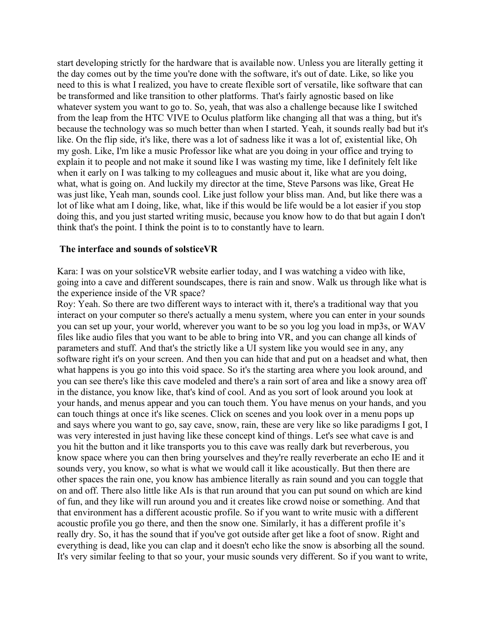start developing strictly for the hardware that is available now. Unless you are literally getting it the day comes out by the time you're done with the software, it's out of date. Like, so like you need to this is what I realized, you have to create flexible sort of versatile, like software that can be transformed and like transition to other platforms. That's fairly agnostic based on like whatever system you want to go to. So, yeah, that was also a challenge because like I switched from the leap from the HTC VIVE to Oculus platform like changing all that was a thing, but it's because the technology was so much better than when I started. Yeah, it sounds really bad but it's like. On the flip side, it's like, there was a lot of sadness like it was a lot of, existential like, Oh my gosh. Like, I'm like a music Professor like what are you doing in your office and trying to explain it to people and not make it sound like I was wasting my time, like I definitely felt like when it early on I was talking to my colleagues and music about it, like what are you doing, what, what is going on. And luckily my director at the time, Steve Parsons was like, Great He was just like, Yeah man, sounds cool. Like just follow your bliss man. And, but like there was a lot of like what am I doing, like, what, like if this would be life would be a lot easier if you stop doing this, and you just started writing music, because you know how to do that but again I don't think that's the point. I think the point is to to constantly have to learn.

#### **The interface and sounds of solsticeVR**

Kara: I was on your solsticeVR website earlier today, and I was watching a video with like, going into a cave and different soundscapes, there is rain and snow. Walk us through like what is the experience inside of the VR space?

Roy: Yeah. So there are two different ways to interact with it, there's a traditional way that you interact on your computer so there's actually a menu system, where you can enter in your sounds you can set up your, your world, wherever you want to be so you log you load in mp3s, or WAV files like audio files that you want to be able to bring into VR, and you can change all kinds of parameters and stuff. And that's the strictly like a UI system like you would see in any, any software right it's on your screen. And then you can hide that and put on a headset and what, then what happens is you go into this void space. So it's the starting area where you look around, and you can see there's like this cave modeled and there's a rain sort of area and like a snowy area off in the distance, you know like, that's kind of cool. And as you sort of look around you look at your hands, and menus appear and you can touch them. You have menus on your hands, and you can touch things at once it's like scenes. Click on scenes and you look over in a menu pops up and says where you want to go, say cave, snow, rain, these are very like so like paradigms I got, I was very interested in just having like these concept kind of things. Let's see what cave is and you hit the button and it like transports you to this cave was really dark but reverberous, you know space where you can then bring yourselves and they're really reverberate an echo IE and it sounds very, you know, so what is what we would call it like acoustically. But then there are other spaces the rain one, you know has ambience literally as rain sound and you can toggle that on and off. There also little like AIs is that run around that you can put sound on which are kind of fun, and they like will run around you and it creates like crowd noise or something. And that that environment has a different acoustic profile. So if you want to write music with a different acoustic profile you go there, and then the snow one. Similarly, it has a different profile it's really dry. So, it has the sound that if you've got outside after get like a foot of snow. Right and everything is dead, like you can clap and it doesn't echo like the snow is absorbing all the sound. It's very similar feeling to that so your, your music sounds very different. So if you want to write,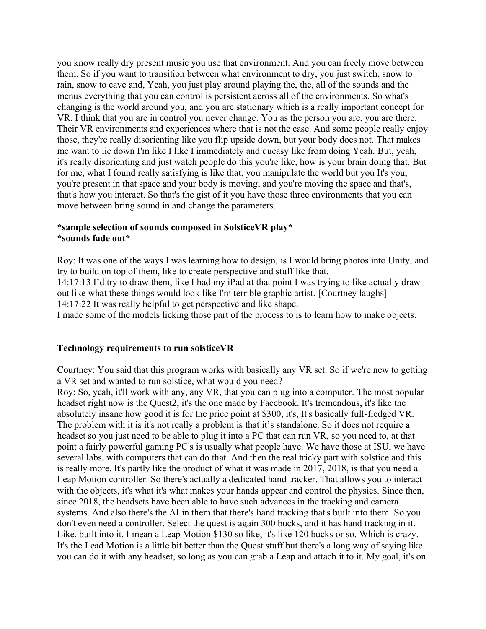you know really dry present music you use that environment. And you can freely move between them. So if you want to transition between what environment to dry, you just switch, snow to rain, snow to cave and, Yeah, you just play around playing the, the, all of the sounds and the menus everything that you can control is persistent across all of the environments. So what's changing is the world around you, and you are stationary which is a really important concept for VR, I think that you are in control you never change. You as the person you are, you are there. Their VR environments and experiences where that is not the case. And some people really enjoy those, they're really disorienting like you flip upside down, but your body does not. That makes me want to lie down I'm like I like I immediately and queasy like from doing Yeah. But, yeah, it's really disorienting and just watch people do this you're like, how is your brain doing that. But for me, what I found really satisfying is like that, you manipulate the world but you It's you, you're present in that space and your body is moving, and you're moving the space and that's, that's how you interact. So that's the gist of it you have those three environments that you can move between bring sound in and change the parameters.

#### **\*sample selection of sounds composed in SolsticeVR play\* \*sounds fade out\***

Roy: It was one of the ways I was learning how to design, is I would bring photos into Unity, and try to build on top of them, like to create perspective and stuff like that. 14:17:13 I'd try to draw them, like I had my iPad at that point I was trying to like actually draw out like what these things would look like I'm terrible graphic artist. [Courtney laughs]

14:17:22 It was really helpful to get perspective and like shape.

I made some of the models licking those part of the process to is to learn how to make objects.

#### **Technology requirements to run solsticeVR**

Courtney: You said that this program works with basically any VR set. So if we're new to getting a VR set and wanted to run solstice, what would you need?

Roy: So, yeah, it'll work with any, any VR, that you can plug into a computer. The most popular headset right now is the Quest2, it's the one made by Facebook. It's tremendous, it's like the absolutely insane how good it is for the price point at \$300, it's, It's basically full-fledged VR. The problem with it is it's not really a problem is that it's standalone. So it does not require a headset so you just need to be able to plug it into a PC that can run VR, so you need to, at that point a fairly powerful gaming PC's is usually what people have. We have those at ISU, we have several labs, with computers that can do that. And then the real tricky part with solstice and this is really more. It's partly like the product of what it was made in 2017, 2018, is that you need a Leap Motion controller. So there's actually a dedicated hand tracker. That allows you to interact with the objects, it's what it's what makes your hands appear and control the physics. Since then, since 2018, the headsets have been able to have such advances in the tracking and camera systems. And also there's the AI in them that there's hand tracking that's built into them. So you don't even need a controller. Select the quest is again 300 bucks, and it has hand tracking in it. Like, built into it. I mean a Leap Motion \$130 so like, it's like 120 bucks or so. Which is crazy. It's the Lead Motion is a little bit better than the Quest stuff but there's a long way of saying like you can do it with any headset, so long as you can grab a Leap and attach it to it. My goal, it's on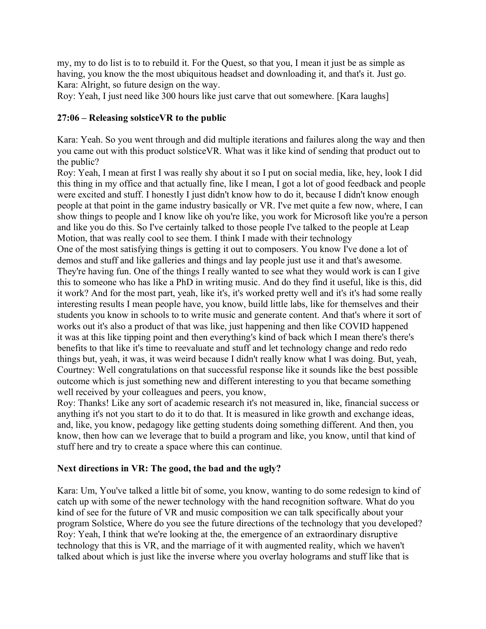my, my to do list is to to rebuild it. For the Quest, so that you, I mean it just be as simple as having, you know the the most ubiquitous headset and downloading it, and that's it. Just go. Kara: Alright, so future design on the way.

Roy: Yeah, I just need like 300 hours like just carve that out somewhere. [Kara laughs]

### **27:06 – Releasing solsticeVR to the public**

Kara: Yeah. So you went through and did multiple iterations and failures along the way and then you came out with this product solsticeVR. What was it like kind of sending that product out to the public?

Roy: Yeah, I mean at first I was really shy about it so I put on social media, like, hey, look I did this thing in my office and that actually fine, like I mean, I got a lot of good feedback and people were excited and stuff. I honestly I just didn't know how to do it, because I didn't know enough people at that point in the game industry basically or VR. I've met quite a few now, where, I can show things to people and I know like oh you're like, you work for Microsoft like you're a person and like you do this. So I've certainly talked to those people I've talked to the people at Leap Motion, that was really cool to see them. I think I made with their technology One of the most satisfying things is getting it out to composers. You know I've done a lot of demos and stuff and like galleries and things and lay people just use it and that's awesome. They're having fun. One of the things I really wanted to see what they would work is can I give this to someone who has like a PhD in writing music. And do they find it useful, like is this, did it work? And for the most part, yeah, like it's, it's worked pretty well and it's it's had some really interesting results I mean people have, you know, build little labs, like for themselves and their students you know in schools to to write music and generate content. And that's where it sort of works out it's also a product of that was like, just happening and then like COVID happened it was at this like tipping point and then everything's kind of back which I mean there's there's benefits to that like it's time to reevaluate and stuff and let technology change and redo redo

things but, yeah, it was, it was weird because I didn't really know what I was doing. But, yeah, Courtney: Well congratulations on that successful response like it sounds like the best possible outcome which is just something new and different interesting to you that became something well received by your colleagues and peers, you know,

Roy: Thanks! Like any sort of academic research it's not measured in, like, financial success or anything it's not you start to do it to do that. It is measured in like growth and exchange ideas, and, like, you know, pedagogy like getting students doing something different. And then, you know, then how can we leverage that to build a program and like, you know, until that kind of stuff here and try to create a space where this can continue.

## **Next directions in VR: The good, the bad and the ugly?**

Kara: Um, You've talked a little bit of some, you know, wanting to do some redesign to kind of catch up with some of the newer technology with the hand recognition software. What do you kind of see for the future of VR and music composition we can talk specifically about your program Solstice, Where do you see the future directions of the technology that you developed? Roy: Yeah, I think that we're looking at the, the emergence of an extraordinary disruptive technology that this is VR, and the marriage of it with augmented reality, which we haven't talked about which is just like the inverse where you overlay holograms and stuff like that is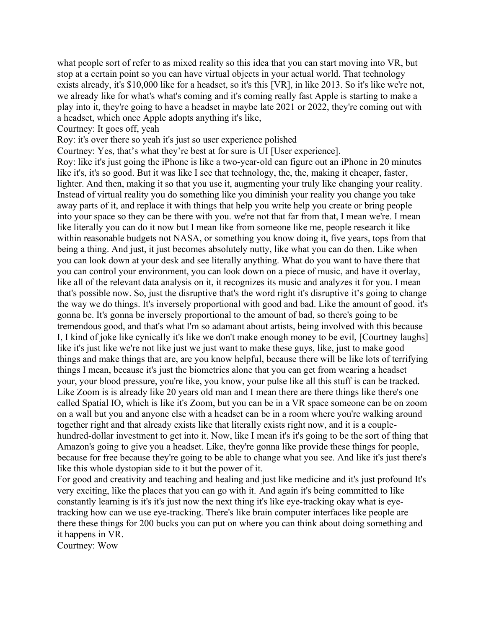what people sort of refer to as mixed reality so this idea that you can start moving into VR, but stop at a certain point so you can have virtual objects in your actual world. That technology exists already, it's \$10,000 like for a headset, so it's this [VR], in like 2013. So it's like we're not, we already like for what's what's coming and it's coming really fast Apple is starting to make a play into it, they're going to have a headset in maybe late 2021 or 2022, they're coming out with a headset, which once Apple adopts anything it's like,

Courtney: It goes off, yeah

Roy: it's over there so yeah it's just so user experience polished

Courtney: Yes, that's what they're best at for sure is UI [User experience].

Roy: like it's just going the iPhone is like a two-year-old can figure out an iPhone in 20 minutes like it's, it's so good. But it was like I see that technology, the, the, making it cheaper, faster, lighter. And then, making it so that you use it, augmenting your truly like changing your reality. Instead of virtual reality you do something like you diminish your reality you change you take away parts of it, and replace it with things that help you write help you create or bring people into your space so they can be there with you. we're not that far from that, I mean we're. I mean like literally you can do it now but I mean like from someone like me, people research it like within reasonable budgets not NASA, or something you know doing it, five years, tops from that being a thing. And just, it just becomes absolutely nutty, like what you can do then. Like when you can look down at your desk and see literally anything. What do you want to have there that you can control your environment, you can look down on a piece of music, and have it overlay, like all of the relevant data analysis on it, it recognizes its music and analyzes it for you. I mean that's possible now. So, just the disruptive that's the word right it's disruptive it's going to change the way we do things. It's inversely proportional with good and bad. Like the amount of good. it's gonna be. It's gonna be inversely proportional to the amount of bad, so there's going to be tremendous good, and that's what I'm so adamant about artists, being involved with this because I, I kind of joke like cynically it's like we don't make enough money to be evil, [Courtney laughs] like it's just like we're not like just we just want to make these guys, like, just to make good things and make things that are, are you know helpful, because there will be like lots of terrifying things I mean, because it's just the biometrics alone that you can get from wearing a headset your, your blood pressure, you're like, you know, your pulse like all this stuff is can be tracked. Like Zoom is is already like 20 years old man and I mean there are there things like there's one called Spatial IO, which is like it's Zoom, but you can be in a VR space someone can be on zoom on a wall but you and anyone else with a headset can be in a room where you're walking around together right and that already exists like that literally exists right now, and it is a couplehundred-dollar investment to get into it. Now, like I mean it's it's going to be the sort of thing that Amazon's going to give you a headset. Like, they're gonna like provide these things for people, because for free because they're going to be able to change what you see. And like it's just there's like this whole dystopian side to it but the power of it.

For good and creativity and teaching and healing and just like medicine and it's just profound It's very exciting, like the places that you can go with it. And again it's being committed to like constantly learning is it's it's just now the next thing it's like eye-tracking okay what is eyetracking how can we use eye-tracking. There's like brain computer interfaces like people are there these things for 200 bucks you can put on where you can think about doing something and it happens in VR.

Courtney: Wow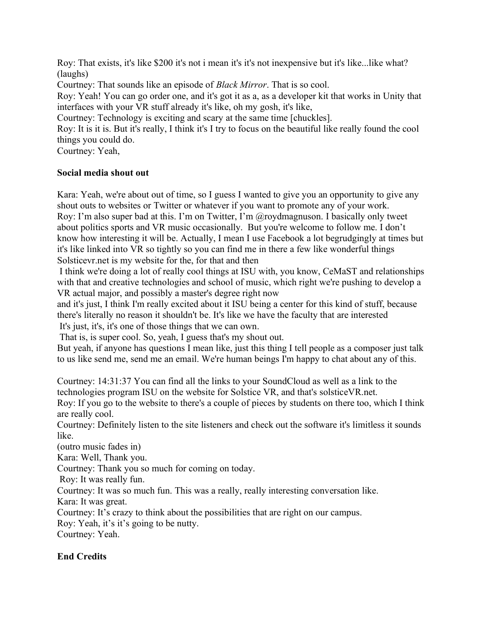Roy: That exists, it's like \$200 it's not i mean it's it's not inexpensive but it's like...like what? (laughs)

Courtney: That sounds like an episode of *Black Mirror*. That is so cool.

Roy: Yeah! You can go order one, and it's got it as a, as a developer kit that works in Unity that interfaces with your VR stuff already it's like, oh my gosh, it's like,

Courtney: Technology is exciting and scary at the same time [chuckles].

Roy: It is it is. But it's really, I think it's I try to focus on the beautiful like really found the cool things you could do.

Courtney: Yeah,

## **Social media shout out**

Kara: Yeah, we're about out of time, so I guess I wanted to give you an opportunity to give any shout outs to websites or Twitter or whatever if you want to promote any of your work. Roy: I'm also super bad at this. I'm on Twitter, I'm @roydmagnuson. I basically only tweet about politics sports and VR music occasionally. But you're welcome to follow me. I don't know how interesting it will be. Actually, I mean I use Facebook a lot begrudgingly at times but it's like linked into VR so tightly so you can find me in there a few like wonderful things Solsticevr.net is my website for the, for that and then

I think we're doing a lot of really cool things at ISU with, you know, CeMaST and relationships with that and creative technologies and school of music, which right we're pushing to develop a VR actual major, and possibly a master's degree right now

and it's just, I think I'm really excited about it ISU being a center for this kind of stuff, because there's literally no reason it shouldn't be. It's like we have the faculty that are interested It's just, it's, it's one of those things that we can own.

That is, is super cool. So, yeah, I guess that's my shout out.

But yeah, if anyone has questions I mean like, just this thing I tell people as a composer just talk to us like send me, send me an email. We're human beings I'm happy to chat about any of this.

Courtney: 14:31:37 You can find all the links to your SoundCloud as well as a link to the technologies program ISU on the website for Solstice VR, and that's solsticeVR.net.

Roy: If you go to the website to there's a couple of pieces by students on there too, which I think are really cool.

Courtney: Definitely listen to the site listeners and check out the software it's limitless it sounds like.

(outro music fades in)

Kara: Well, Thank you.

Courtney: Thank you so much for coming on today.

Roy: It was really fun.

Courtney: It was so much fun. This was a really, really interesting conversation like. Kara: It was great.

Courtney: It's crazy to think about the possibilities that are right on our campus.

Roy: Yeah, it's it's going to be nutty.

Courtney: Yeah.

# **End Credits**